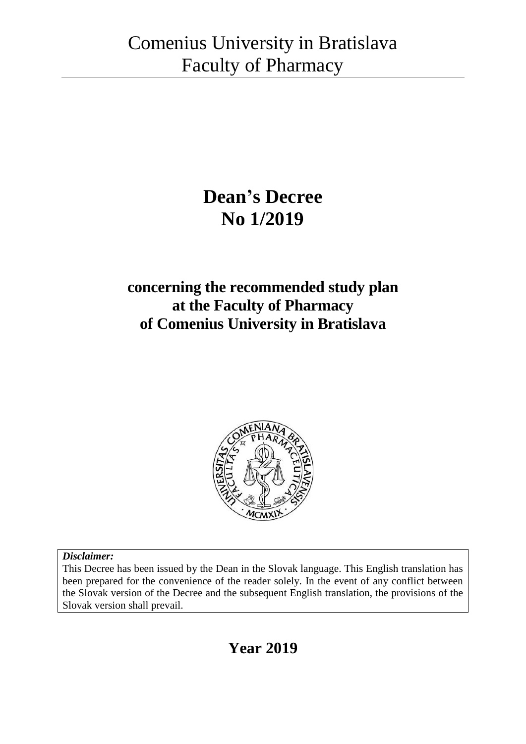# **Dean's Decree No 1/2019**

## **concerning the recommended study plan at the Faculty of Pharmacy of Comenius University in Bratislava**



### *Disclaimer:*

This Decree has been issued by the Dean in the Slovak language. This English translation has been prepared for the convenience of the reader solely. In the event of any conflict between the Slovak version of the Decree and the subsequent English translation, the provisions of the Slovak version shall prevail.

## **Year 2019**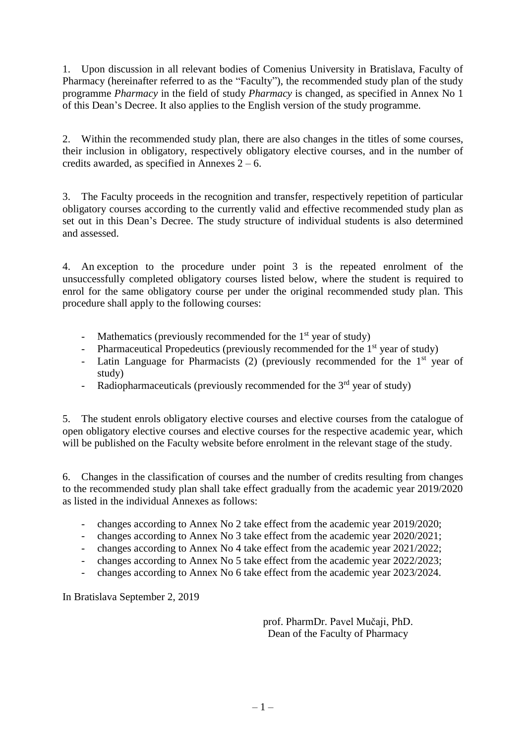1. Upon discussion in all relevant bodies of Comenius University in Bratislava, Faculty of Pharmacy (hereinafter referred to as the "Faculty"), the recommended study plan of the study programme *Pharmacy* in the field of study *Pharmacy* is changed, as specified in Annex No 1 of this Dean's Decree. It also applies to the English version of the study programme.

2. Within the recommended study plan, there are also changes in the titles of some courses, their inclusion in obligatory, respectively obligatory elective courses, and in the number of credits awarded, as specified in Annexes  $2 - 6$ .

3. The Faculty proceeds in the recognition and transfer, respectively repetition of particular obligatory courses according to the currently valid and effective recommended study plan as set out in this Dean's Decree. The study structure of individual students is also determined and assessed.

4. An exception to the procedure under point 3 is the repeated enrolment of the unsuccessfully completed obligatory courses listed below, where the student is required to enrol for the same obligatory course per under the original recommended study plan. This procedure shall apply to the following courses:

- Mathematics (previously recommended for the  $1<sup>st</sup>$  year of study)
- Pharmaceutical Propedeutics (previously recommended for the  $1<sup>st</sup>$  year of study)
- Latin Language for Pharmacists  $(2)$  (previously recommended for the 1<sup>st</sup> year of study)
- Radiopharmaceuticals (previously recommended for the  $3<sup>rd</sup>$  year of study)

5. The student enrols obligatory elective courses and elective courses from the catalogue of open obligatory elective courses and elective courses for the respective academic year, which will be published on the Faculty website before enrolment in the relevant stage of the study.

6. Changes in the classification of courses and the number of credits resulting from changes to the recommended study plan shall take effect gradually from the academic year 2019/2020 as listed in the individual Annexes as follows:

- changes according to Annex No 2 take effect from the academic year 2019/2020;
- changes according to Annex No 3 take effect from the academic year 2020/2021;
- changes according to Annex No 4 take effect from the academic year 2021/2022;
- changes according to Annex No 5 take effect from the academic year 2022/2023;
- changes according to Annex No 6 take effect from the academic year 2023/2024.

In Bratislava September 2, 2019

prof. PharmDr. Pavel Mučaji, PhD. Dean of the Faculty of Pharmacy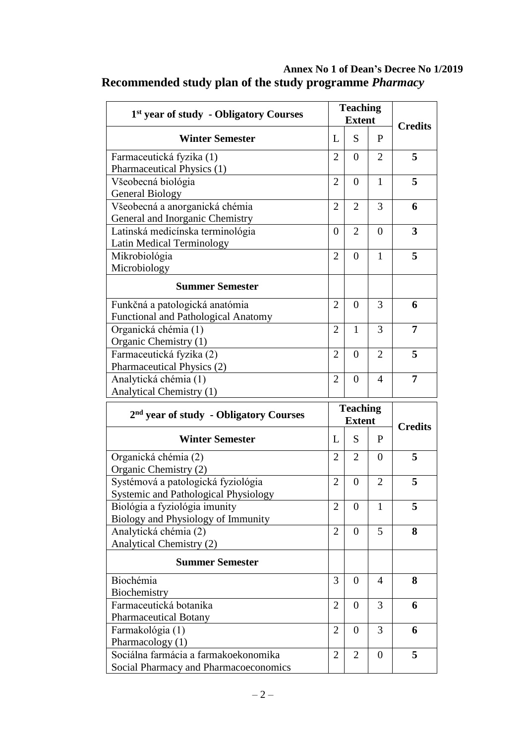| 1st year of study - Obligatory Courses                   |                | <b>Teaching</b>    |                |                |
|----------------------------------------------------------|----------------|--------------------|----------------|----------------|
|                                                          |                | <b>Extent</b>      |                | <b>Credits</b> |
| <b>Winter Semester</b>                                   | L              | S                  | P              |                |
| Farmaceutická fyzika (1)                                 | $\overline{2}$ | $\overline{0}$     | $\overline{2}$ | 5              |
| Pharmaceutical Physics (1)                               |                |                    |                |                |
| Všeobecná biológia                                       | $\overline{2}$ | $\overline{0}$     | $\mathbf{1}$   | 5              |
| <b>General Biology</b>                                   |                |                    |                |                |
| Všeobecná a anorganická chémia                           | $\overline{2}$ | $\overline{2}$     | 3              | 6              |
| General and Inorganic Chemistry                          |                |                    |                |                |
| Latinská medicínska terminológia                         | $\theta$       | $\overline{2}$     | $\theta$       | 3              |
| Latin Medical Terminology                                |                |                    |                |                |
| Mikrobiológia                                            | $\overline{2}$ | $\overline{0}$     | $\mathbf{1}$   | 5              |
| Microbiology                                             |                |                    |                |                |
| <b>Summer Semester</b>                                   |                |                    |                |                |
| Funkčná a patologická anatómia                           | $\overline{2}$ | $\overline{0}$     | 3              | 6              |
| Functional and Pathological Anatomy                      |                |                    |                |                |
| Organická chémia (1)                                     | $\overline{2}$ | $\mathbf{1}$       | 3              | 7              |
| Organic Chemistry (1)                                    |                |                    |                |                |
| Farmaceutická fyzika (2)                                 | $\overline{2}$ | $\overline{0}$     | $\overline{2}$ | 5              |
| Pharmaceutical Physics (2)                               |                |                    |                |                |
| Analytická chémia (1)                                    | $\overline{2}$ | $\overline{0}$     | $\overline{4}$ | $\overline{7}$ |
|                                                          |                |                    |                |                |
| Analytical Chemistry (1)                                 |                |                    |                |                |
|                                                          |                |                    |                |                |
| 2 <sup>nd</sup> year of study - Obligatory Courses       |                | <b>Teaching</b>    |                |                |
| <b>Winter Semester</b>                                   | L              | <b>Extent</b><br>S | $\mathbf{P}$   | <b>Credits</b> |
|                                                          |                |                    |                |                |
| Organická chémia (2)                                     | $\overline{2}$ | $\overline{2}$     | $\overline{0}$ | 5              |
| Organic Chemistry (2)                                    |                |                    |                |                |
| Systémová a patologická fyziológia                       | $\overline{2}$ | $\boldsymbol{0}$   | $\overline{2}$ | 5              |
| <b>Systemic and Pathological Physiology</b>              |                |                    |                |                |
| Biológia a fyziológia imunity                            | $\overline{2}$ | $\boldsymbol{0}$   | 1              | 5              |
| Biology and Physiology of Immunity                       |                |                    |                |                |
| Analytická chémia (2)                                    | $\overline{2}$ | $\theta$           | 5              | 8              |
| Analytical Chemistry (2)                                 |                |                    |                |                |
| <b>Summer Semester</b>                                   |                |                    |                |                |
| Biochémia                                                | 3              | $\overline{0}$     | 4              | 8              |
| Biochemistry                                             |                |                    |                |                |
| Farmaceutická botanika                                   | $\overline{2}$ | $\overline{0}$     | 3              | 6              |
| Pharmaceutical Botany                                    |                |                    |                |                |
| Farmakológia (1)                                         | $\overline{2}$ | $\overline{0}$     | 3              | 6              |
| Pharmacology (1)<br>Sociálna farmácia a farmakoekonomika | $\overline{2}$ | 2                  | $\theta$       | 5              |

## **Annex No 1 of Dean's Decree No 1/2019 Recommended study plan of the study programme** *Pharmacy*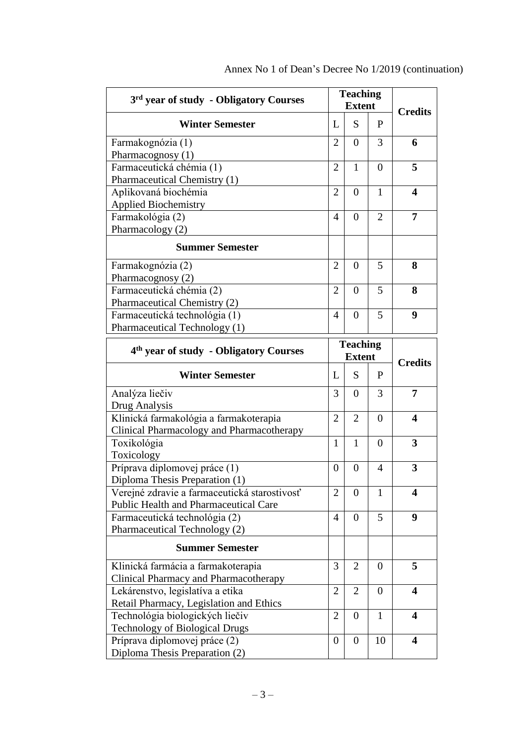| 3 <sup>rd</sup> year of study - Obligatory Courses |                  | <b>Teaching</b><br><b>Extent</b> |                | <b>Credits</b>          |
|----------------------------------------------------|------------------|----------------------------------|----------------|-------------------------|
| <b>Winter Semester</b>                             | L                | S                                | P              |                         |
| Farmakognózia (1)                                  | 2                | $\overline{0}$                   | 3              | 6                       |
| Pharmacognosy (1)                                  |                  |                                  |                |                         |
| Farmaceutická chémia (1)                           | $\overline{2}$   | 1                                | $\overline{0}$ | 5                       |
| Pharmaceutical Chemistry (1)                       |                  |                                  |                |                         |
| Aplikovaná biochémia                               | $\overline{2}$   | $\overline{0}$                   | $\mathbf{1}$   | $\overline{\mathbf{4}}$ |
| <b>Applied Biochemistry</b>                        |                  |                                  |                |                         |
| Farmakológia (2)                                   | 4                | $\overline{0}$                   | $\overline{2}$ | 7                       |
| Pharmacology (2)                                   |                  |                                  |                |                         |
| <b>Summer Semester</b>                             |                  |                                  |                |                         |
| Farmakognózia (2)                                  | $\overline{2}$   | $\overline{0}$                   | 5              | 8                       |
| Pharmacognosy (2)                                  |                  |                                  |                |                         |
| Farmaceutická chémia (2)                           | $\overline{2}$   | $\overline{0}$                   | 5              | 8                       |
| Pharmaceutical Chemistry (2)                       |                  |                                  |                |                         |
| Farmaceutická technológia (1)                      | 4                | $\overline{0}$                   | 5              | $\boldsymbol{9}$        |
| Pharmaceutical Technology (1)                      |                  |                                  |                |                         |
|                                                    |                  | <b>Teaching</b>                  |                |                         |
| 4 <sup>th</sup> year of study - Obligatory Courses |                  | <b>Extent</b>                    |                | <b>Credits</b>          |
| <b>Winter Semester</b>                             | L                | S                                | P              |                         |
| Analýza liečiv                                     | 3                | $\boldsymbol{0}$                 | 3              | 7                       |
| Drug Analysis                                      |                  |                                  |                |                         |
| Klinická farmakológia a farmakoterapia             | 2                | $\overline{2}$                   | $\overline{0}$ | $\boldsymbol{4}$        |
| Clinical Pharmacology and Pharmacotherapy          |                  |                                  |                |                         |
| Toxikológia                                        | 1                | 1                                | $\overline{0}$ | $\overline{\mathbf{3}}$ |
| Toxicology                                         |                  |                                  |                |                         |
| Príprava diplomovej práce (1)                      | $\boldsymbol{0}$ | $\overline{0}$                   | 4              | 3                       |
| Diploma Thesis Preparation (1)                     |                  |                                  |                |                         |
| Verejné zdravie a farmaceutická starostivosť       | $\overline{2}$   | $\theta$                         | 1              | 4                       |
| Public Health and Pharmaceutical Care              |                  |                                  |                |                         |
| Farmaceutická technológia (2)                      | 4                | $\overline{0}$                   | 5              | 9                       |
| Pharmaceutical Technology (2)                      |                  |                                  |                |                         |
| <b>Summer Semester</b>                             |                  |                                  |                |                         |
| Klinická farmácia a farmakoterapia                 | 3                | $\overline{2}$                   | $\theta$       | 5                       |
| Clinical Pharmacy and Pharmacotherapy              |                  |                                  |                |                         |
| Lekárenstvo, legislatíva a etika                   | $\overline{2}$   | $\overline{2}$                   | $\theta$       | $\overline{\mathbf{4}}$ |
| Retail Pharmacy, Legislation and Ethics            |                  |                                  |                |                         |
| Technológia biologických liečiv                    | 2                | $\overline{0}$                   | $\mathbf{1}$   | $\overline{\mathbf{4}}$ |
| <b>Technology of Biological Drugs</b>              |                  |                                  |                |                         |
| Príprava diplomovej práce (2)                      | $\boldsymbol{0}$ | $\overline{0}$                   | 10             | $\overline{\mathbf{4}}$ |
| Diploma Thesis Preparation (2)                     |                  |                                  |                |                         |

|  | Annex No 1 of Dean's Decree No 1/2019 (continuation) |  |  |
|--|------------------------------------------------------|--|--|
|--|------------------------------------------------------|--|--|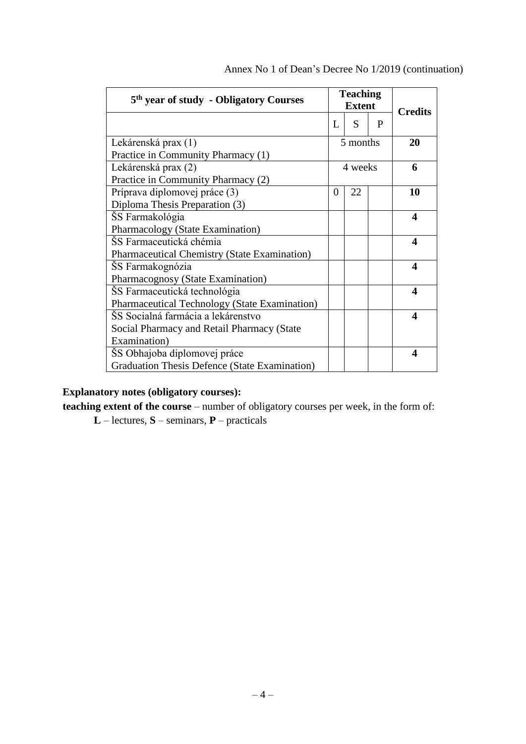| 5 <sup>th</sup> year of study - Obligatory Courses |   | <b>Teaching</b><br><b>Extent</b> |   | <b>Credits</b> |
|----------------------------------------------------|---|----------------------------------|---|----------------|
|                                                    | L | S                                | P |                |
| Lekárenská prax (1)                                |   | 5 months                         |   | 20             |
| Practice in Community Pharmacy (1)                 |   |                                  |   |                |
| Lekárenská prax (2)                                |   | 4 weeks                          |   | 6              |
| Practice in Community Pharmacy (2)                 |   |                                  |   |                |
| Príprava diplomovej práce (3)                      | 0 | 22                               |   | 10             |
| Diploma Thesis Preparation (3)                     |   |                                  |   |                |
| ŠS Farmakológia                                    |   |                                  |   | 4              |
| Pharmacology (State Examination)                   |   |                                  |   |                |
| ŠS Farmaceutická chémia                            |   |                                  |   | 4              |
| Pharmaceutical Chemistry (State Examination)       |   |                                  |   |                |
| SS Farmakognózia                                   |   |                                  |   | 4              |
| Pharmacognosy (State Examination)                  |   |                                  |   |                |
| ŠS Farmaceutická technológia                       |   |                                  |   | 4              |
| Pharmaceutical Technology (State Examination)      |   |                                  |   |                |
| ŠS Socialná farmácia a lekárenstvo                 |   |                                  |   | 4              |
| Social Pharmacy and Retail Pharmacy (State         |   |                                  |   |                |
| Examination)                                       |   |                                  |   |                |
| ŠS Obhajoba diplomovej práce                       |   |                                  |   | 4              |
| Graduation Thesis Defence (State Examination)      |   |                                  |   |                |

Annex No 1 of Dean's Decree No 1/2019 (continuation)

### **Explanatory notes (obligatory courses):**

**teaching extent of the course** – number of obligatory courses per week, in the form of:

**L** – lectures, **S** – seminars, **P** – practicals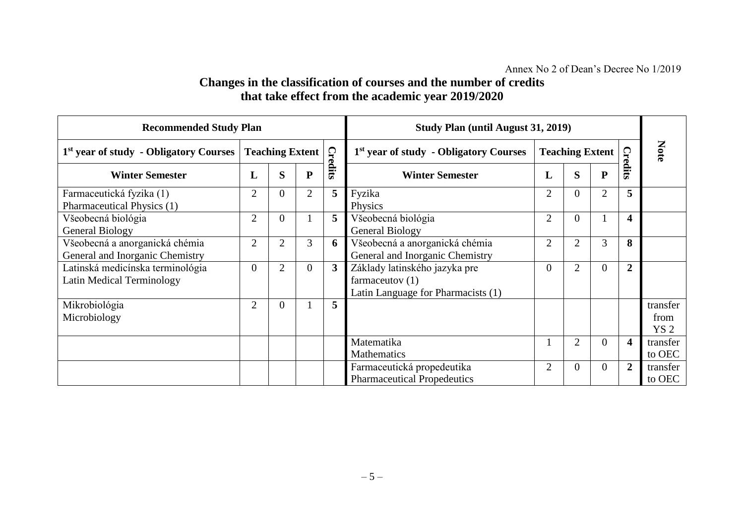## **Changes in the classification of courses and the number of credits that take effect from the academic year 2019/2020**

| <b>Recommended Study Plan</b>                                     |                        |                |                |                | <b>Study Plan (until August 31, 2019)</b>                                                |                        |                |                |                         |                                     |
|-------------------------------------------------------------------|------------------------|----------------|----------------|----------------|------------------------------------------------------------------------------------------|------------------------|----------------|----------------|-------------------------|-------------------------------------|
| 1 <sup>st</sup> year of study - Obligatory Courses                | <b>Teaching Extent</b> |                |                |                | 1 <sup>st</sup> year of study - Obligatory Courses                                       | <b>Teaching Extent</b> |                |                |                         | Note                                |
| <b>Winter Semester</b>                                            | L                      | S              | ${\bf P}$      | <b>Credits</b> | <b>Winter Semester</b>                                                                   | L                      | S              | P              | <b>Credits</b>          |                                     |
| Farmaceutická fyzika (1)<br>Pharmaceutical Physics (1)            | $\overline{2}$         | $\overline{0}$ | $\overline{2}$ | 5              | Fyzika<br>Physics                                                                        | $\overline{2}$         | $\overline{0}$ | 2              | 5                       |                                     |
| Všeobecná biológia<br><b>General Biology</b>                      | $\overline{2}$         | $\theta$       |                | 5              | Všeobecná biológia<br><b>General Biology</b>                                             | $\overline{2}$         | $\overline{0}$ |                | $\overline{\mathbf{4}}$ |                                     |
| Všeobecná a anorganická chémia<br>General and Inorganic Chemistry | $\overline{2}$         | 2              | 3              | 6              | Všeobecná a anorganická chémia<br>General and Inorganic Chemistry                        | $\overline{2}$         | $\overline{2}$ | $\overline{3}$ | 8                       |                                     |
| Latinská medicínska terminológia<br>Latin Medical Terminology     | $\Omega$               | 2              | $\overline{0}$ | $\overline{3}$ | Základy latinského jazyka pre<br>farmaceutov $(1)$<br>Latin Language for Pharmacists (1) | $\overline{0}$         | $\overline{2}$ | 0              | $\overline{2}$          |                                     |
| Mikrobiológia<br>Microbiology                                     | $\overline{2}$         | $\theta$       |                | 5              |                                                                                          |                        |                |                |                         | transfer<br>from<br>YS <sub>2</sub> |
|                                                                   |                        |                |                |                | Matematika<br><b>Mathematics</b>                                                         |                        | $\overline{2}$ | 0              | $\overline{\mathbf{4}}$ | transfer<br>to OEC                  |
|                                                                   |                        |                |                |                | Farmaceutická propedeutika<br><b>Pharmaceutical Propedeutics</b>                         | $\overline{2}$         | $\Omega$       | 0              | $\overline{2}$          | transfer<br>to OEC                  |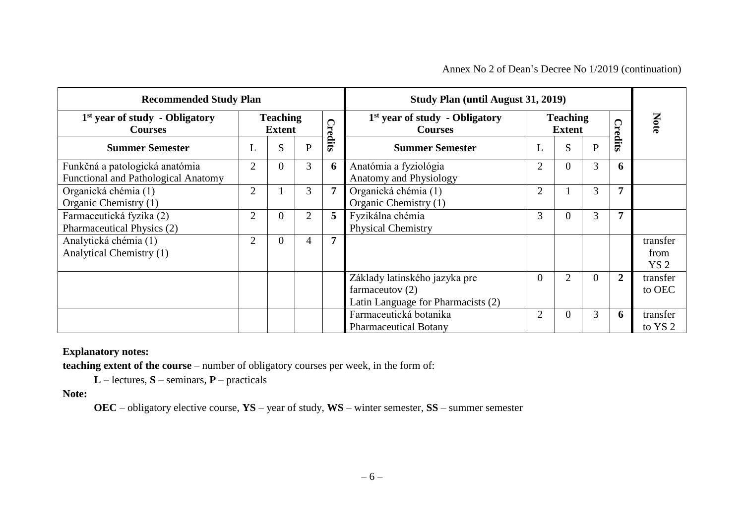#### Annex No 2 of Dean's Decree No 1/2019 (continuation)

| <b>Recommended Study Plan</b>                                                |                                  |                |                |   | Study Plan (until August 31, 2019)                                                       |                |                                  |              |                |                                     |
|------------------------------------------------------------------------------|----------------------------------|----------------|----------------|---|------------------------------------------------------------------------------------------|----------------|----------------------------------|--------------|----------------|-------------------------------------|
| $1st$ year of study - Obligatory<br><b>Courses</b>                           | <b>Teaching</b><br><b>Extent</b> |                | <b>Credits</b> |   | 1 <sup>st</sup> year of study - Obligatory<br><b>Courses</b>                             |                | <b>Teaching</b><br><b>Extent</b> |              |                | Note                                |
| <b>Summer Semester</b>                                                       | ⊥                                | S              | P              |   | <b>Summer Semester</b>                                                                   | ┶              | S                                | $\mathbf{P}$ | Credits        |                                     |
| Funkčná a patologická anatómia<br><b>Functional and Pathological Anatomy</b> | $\overline{2}$                   | $\overline{0}$ | 3              | 6 | Anatómia a fyziológia<br>Anatomy and Physiology                                          | $\overline{2}$ | $\theta$                         | 3            | 6              |                                     |
| Organická chémia (1)<br>Organic Chemistry (1)                                | $\overline{2}$                   |                | 3              |   | Organická chémia (1)<br>Organic Chemistry (1)                                            | 2              |                                  | 3            |                |                                     |
| Farmaceutická fyzika (2)<br>Pharmaceutical Physics (2)                       | $\overline{2}$                   | $\overline{0}$ | $\overline{2}$ | 5 | Fyzikálna chémia<br><b>Physical Chemistry</b>                                            | 3              | $\Omega$                         | 3            |                |                                     |
| Analytická chémia (1)<br>Analytical Chemistry (1)                            | $\overline{2}$                   | $\theta$       | 4              |   |                                                                                          |                |                                  |              |                | transfer<br>from<br>YS <sub>2</sub> |
|                                                                              |                                  |                |                |   | Základy latinského jazyka pre<br>farmaceutov $(2)$<br>Latin Language for Pharmacists (2) | $\theta$       | $\overline{2}$                   | $\Omega$     | $\overline{2}$ | transfer<br>to OEC                  |
|                                                                              |                                  |                |                |   | Farmaceutická botanika<br><b>Pharmaceutical Botany</b>                                   | $\overline{2}$ | $\overline{0}$                   | 3            | 6              | transfer<br>to YS <sub>2</sub>      |

#### **Explanatory notes:**

**teaching extent of the course** – number of obligatory courses per week, in the form of:

**L** – lectures, **S** – seminars, **P** – practicals

**Note:**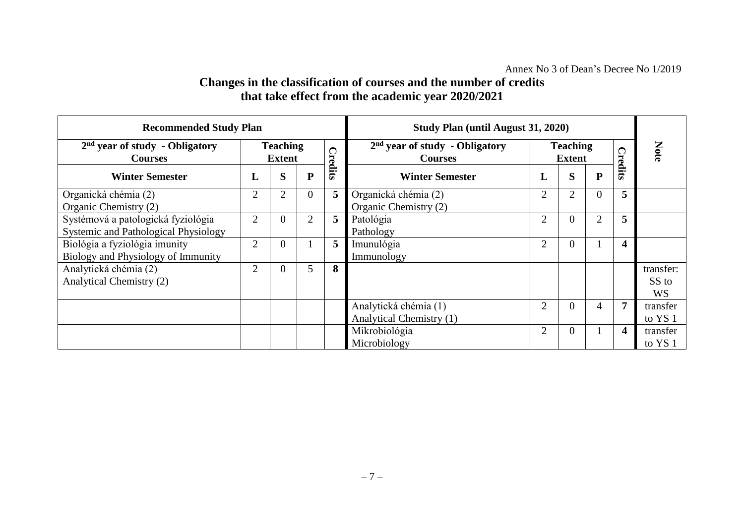## **Changes in the classification of courses and the number of credits that take effect from the academic year 2020/2021**

| <b>Recommended Study Plan</b>                                              |                                  |          |                |   |                                                    | <b>Study Plan (until August 31, 2020)</b> |                |                  |                |                                 |
|----------------------------------------------------------------------------|----------------------------------|----------|----------------|---|----------------------------------------------------|-------------------------------------------|----------------|------------------|----------------|---------------------------------|
| $2nd$ year of study - Obligatory<br><b>Courses</b>                         | <b>Teaching</b><br><b>Extent</b> |          | <b>Credits</b> |   | $2nd$ year of study - Obligatory<br><b>Courses</b> | <b>Teaching</b><br><b>Extent</b>          |                |                  | <b>Credits</b> | Note                            |
| <b>Winter Semester</b>                                                     | L                                | S        | ${\bf P}$      |   | <b>Winter Semester</b>                             | L                                         | S              | ${\bf P}$        |                |                                 |
| Organická chémia (2)<br>Organic Chemistry (2)                              | $\overline{2}$                   | 2        | $\overline{0}$ | 5 | Organická chémia (2)<br>Organic Chemistry (2)      | 2                                         | $\overline{2}$ | $\boldsymbol{0}$ | 5              |                                 |
| Systémová a patologická fyziológia<br>Systemic and Pathological Physiology | $\overline{2}$                   | 0        | $\overline{2}$ | 5 | Patológia<br>Pathology                             | 2                                         | $\overline{0}$ | $\overline{2}$   | 5              |                                 |
| Biológia a fyziológia imunity<br>Biology and Physiology of Immunity        | $\overline{2}$                   | 0        |                | 5 | Imunulógia<br>Immunology                           | 2                                         | $\overline{0}$ |                  | 4              |                                 |
| Analytická chémia (2)<br>Analytical Chemistry (2)                          | $\overline{2}$                   | $\theta$ | 5              | 8 |                                                    |                                           |                |                  |                | transfer:<br>SS to<br><b>WS</b> |
|                                                                            |                                  |          |                |   | Analytická chémia (1)<br>Analytical Chemistry (1)  | $\overline{2}$                            | $\overline{0}$ | 4                |                | transfer<br>to YS 1             |
|                                                                            |                                  |          |                |   | Mikrobiológia<br>Microbiology                      | 2                                         | $\overline{0}$ |                  | 4              | transfer<br>to YS 1             |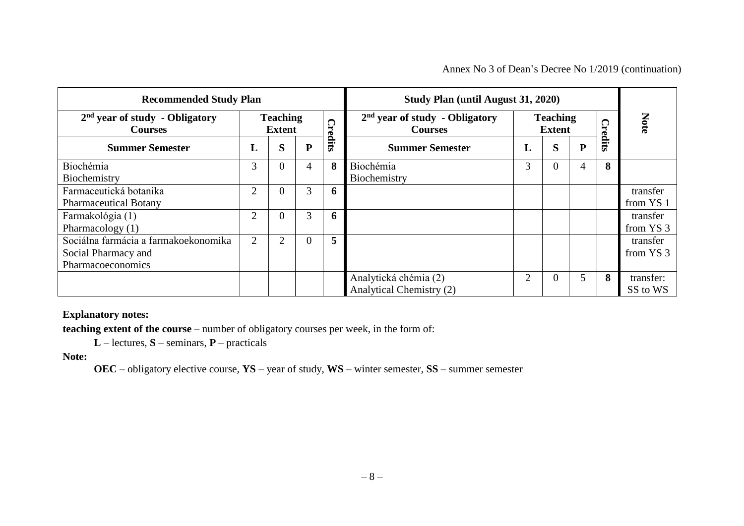#### Annex No 3 of Dean's Decree No 1/2019 (continuation)

|                                                                                  | <b>Recommended Study Plan</b>                |                |                |                                                    |                                                   |                | <b>Study Plan (until August 31, 2020)</b> |           |         |                       |  |
|----------------------------------------------------------------------------------|----------------------------------------------|----------------|----------------|----------------------------------------------------|---------------------------------------------------|----------------|-------------------------------------------|-----------|---------|-----------------------|--|
| $2nd$ year of study - Obligatory<br><b>Courses</b>                               | <b>Teaching</b><br>$\Omega$<br><b>Extent</b> |                |                | $2nd$ year of study - Obligatory<br><b>Courses</b> | <b>Teaching</b><br><b>Extent</b>                  |                |                                           | ◯         | Note    |                       |  |
| <b>Summer Semester</b>                                                           | L                                            | S              | ${\bf P}$      | redits:                                            | <b>Summer Semester</b>                            | L              | S                                         | ${\bf P}$ | 'redits |                       |  |
| Biochémia<br>Biochemistry                                                        | 3                                            | $\overline{0}$ | 4              | 8                                                  | Biochémia<br>Biochemistry                         | 3              | $\overline{0}$                            | 4         | 8       |                       |  |
| Farmaceutická botanika<br><b>Pharmaceutical Botany</b>                           | 2                                            | $\overline{0}$ | 3              | 6                                                  |                                                   |                |                                           |           |         | transfer<br>from YS 1 |  |
| Farmakológia (1)<br>Pharmacology (1)                                             | $\overline{2}$                               | $\Omega$       | 3              | 6                                                  |                                                   |                |                                           |           |         | transfer<br>from YS 3 |  |
| Sociálna farmácia a farmakoekonomika<br>Social Pharmacy and<br>Pharmacoeconomics | 2                                            | 2              | $\overline{0}$ | 5                                                  |                                                   |                |                                           |           |         | transfer<br>from YS 3 |  |
|                                                                                  |                                              |                |                |                                                    | Analytická chémia (2)<br>Analytical Chemistry (2) | $\overline{2}$ | $\overline{0}$                            | 5         | 8       | transfer:<br>SS to WS |  |

#### **Explanatory notes:**

**teaching extent of the course** – number of obligatory courses per week, in the form of:

**L** – lectures, **S** – seminars, **P** – practicals

**Note:**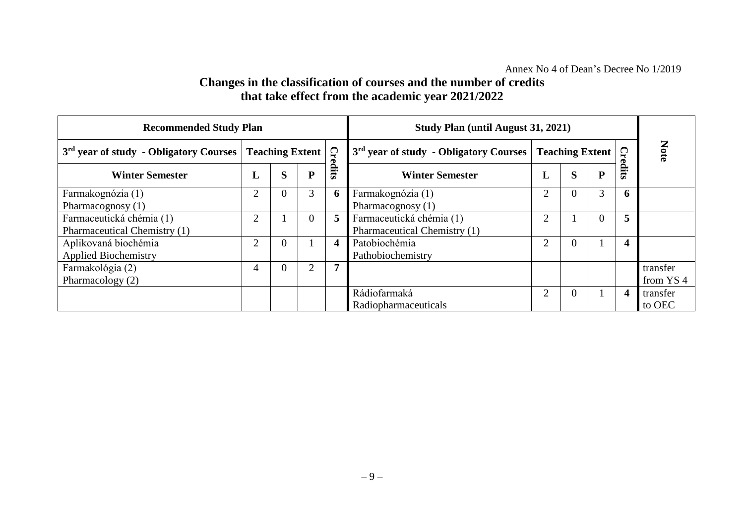## **Changes in the classification of courses and the number of credits that take effect from the academic year 2021/2022**

| <b>Recommended Study Plan</b>                            |                | <b>Study Plan (until August 31, 2021)</b> |                |       |                                                          |                |                        |   |          |                                  |
|----------------------------------------------------------|----------------|-------------------------------------------|----------------|-------|----------------------------------------------------------|----------------|------------------------|---|----------|----------------------------------|
| 3 <sup>rd</sup> year of study - Obligatory Courses       |                | $\Omega$<br><b>Teaching Extent</b>        |                |       | 3 <sup>rd</sup> year of study - Obligatory Courses       |                | <b>Teaching Extent</b> |   | $\Omega$ | Note                             |
| <b>Winter Semester</b>                                   |                | S                                         | ${\bf P}$      | edits | <b>Winter Semester</b>                                   | L              | S                      | D | dits     |                                  |
| Farmakognózia (1)<br>Pharmacognosy (1)                   | $\overline{2}$ | $\Omega$                                  | 3              | O.    | Farmakognózia (1)<br>Pharmacognosy (1)                   | 2              | $\Omega$               | 3 | 6        |                                  |
| Farmaceutická chémia (1)<br>Pharmaceutical Chemistry (1) | $\overline{2}$ |                                           | $\Omega$       | 5.    | Farmaceutická chémia (1)<br>Pharmaceutical Chemistry (1) | $\overline{2}$ |                        |   | 5        |                                  |
| Aplikovaná biochémia<br><b>Applied Biochemistry</b>      | $\overline{2}$ | $\Omega$                                  |                |       | Patobiochémia<br>Pathobiochemistry                       | $\overline{2}$ | $\Omega$               |   | 4        |                                  |
| Farmakológia (2)<br>Pharmacology (2)                     | 4              | $\Omega$                                  | $\overline{2}$ |       |                                                          |                |                        |   |          | transfer<br>from YS <sub>4</sub> |
|                                                          |                |                                           |                |       | Rádiofarmaká<br>Radiopharmaceuticals                     | $\overline{2}$ | $\Omega$               |   | 4        | transfer<br>to OEC               |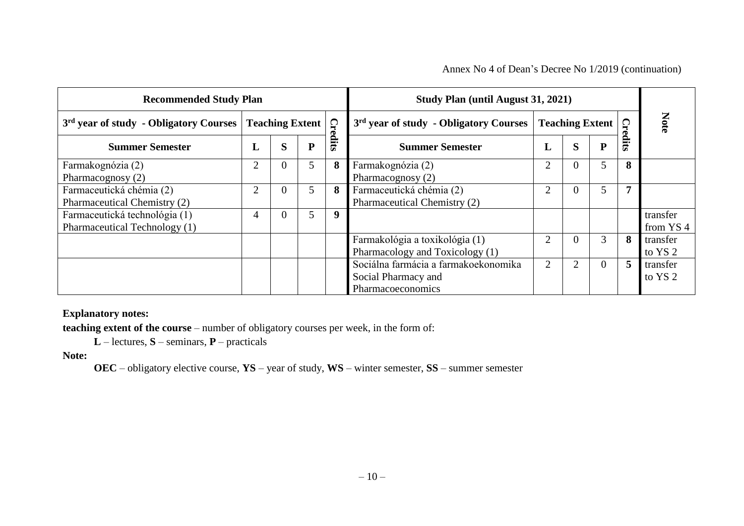Annex No 4 of Dean's Decree No 1/2019 (continuation)

| <b>Recommended Study Plan</b>                                  |                               | <b>Study Plan (until August 31, 2021)</b> |           |       |                                                                                  |                        |   |                |                           |                                  |
|----------------------------------------------------------------|-------------------------------|-------------------------------------------|-----------|-------|----------------------------------------------------------------------------------|------------------------|---|----------------|---------------------------|----------------------------------|
| 3 <sup>rd</sup> year of study - Obligatory Courses             | Cre<br><b>Teaching Extent</b> |                                           |           |       | 3 <sup>rd</sup> year of study - Obligatory Courses                               | <b>Teaching Extent</b> |   |                | $\boldsymbol{\mathsf{G}}$ | Note                             |
| <b>Summer Semester</b>                                         | L                             | S                                         | ${\bf P}$ | siits | <b>Summer Semester</b>                                                           | L                      | S | ${\bf P}$      | Ê.<br>ದ                   |                                  |
| Farmakognózia (2)<br>Pharmacognosy (2)                         | $\overline{2}$                | $\Omega$                                  | 5         | 8     | Farmakognózia (2)<br>Pharmacognosy (2)                                           | $\overline{2}$         |   | 5              | 8                         |                                  |
| Farmaceutická chémia (2)<br>Pharmaceutical Chemistry (2)       | $\overline{2}$                | $\Omega$                                  | 5         | 8     | Farmaceutická chémia (2)<br>Pharmaceutical Chemistry (2)                         | $\overline{2}$         |   | 5              | 7                         |                                  |
| Farmaceutická technológia (1)<br>Pharmaceutical Technology (1) |                               | $\Omega$                                  | 5         | 9     |                                                                                  |                        |   |                |                           | transfer<br>from YS <sub>4</sub> |
|                                                                |                               |                                           |           |       | Farmakológia a toxikológia (1)<br>Pharmacology and Toxicology (1)                | $\overline{2}$         |   | 3              | 8                         | transfer<br>to YS 2              |
|                                                                |                               |                                           |           |       | Sociálna farmácia a farmakoekonomika<br>Social Pharmacy and<br>Pharmacoeconomics | $\overline{2}$         |   | $\overline{0}$ | 5                         | transfer<br>to YS 2              |

#### **Explanatory notes:**

**teaching extent of the course** – number of obligatory courses per week, in the form of:

**L** – lectures, **S** – seminars, **P** – practicals

**Note:**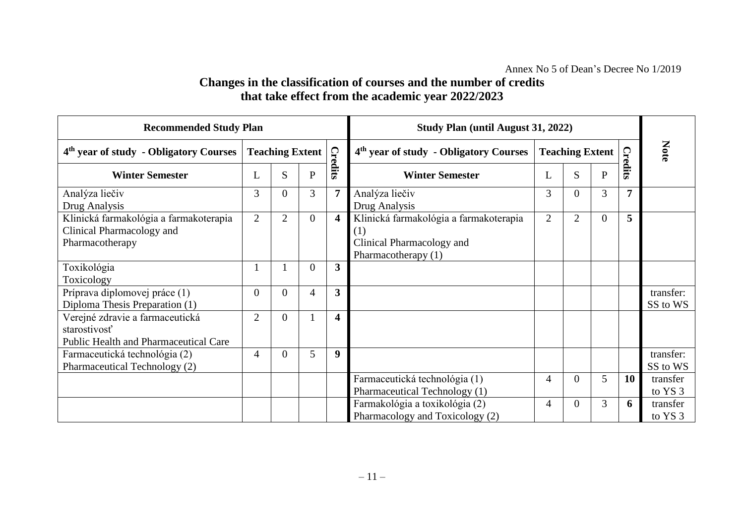## **Changes in the classification of courses and the number of credits that take effect from the academic year 2022/2023**

| <b>Recommended Study Plan</b>                                                                   |                        |                |                |                                                    | Study Plan (until August 31, 2022)                                                                |                        |                |                |                |                       |
|-------------------------------------------------------------------------------------------------|------------------------|----------------|----------------|----------------------------------------------------|---------------------------------------------------------------------------------------------------|------------------------|----------------|----------------|----------------|-----------------------|
| 4 <sup>th</sup> year of study - Obligatory Courses                                              | <b>Teaching Extent</b> |                | <b>Credits</b> | 4 <sup>th</sup> year of study - Obligatory Courses |                                                                                                   | <b>Teaching Extent</b> |                | $\mathbf{C}$   | Note           |                       |
| <b>Winter Semester</b>                                                                          | L                      | S              | P              |                                                    | <b>Winter Semester</b>                                                                            | L                      | S              | $\mathbf{P}$   | edits          |                       |
| Analýza liečiv<br>Drug Analysis                                                                 | 3                      |                | 3              | 7                                                  | Analýza liečiv<br>Drug Analysis                                                                   | 3                      | 0              | 3              | $\overline{7}$ |                       |
| Klinická farmakológia a farmakoterapia<br>Clinical Pharmacology and<br>Pharmacotherapy          | $\overline{2}$         | $\overline{2}$ | $\overline{0}$ | $\overline{\mathbf{4}}$                            | Klinická farmakológia a farmakoterapia<br>(1)<br>Clinical Pharmacology and<br>Pharmacotherapy (1) | $\overline{2}$         | $\overline{2}$ | $\overline{0}$ | 5              |                       |
| Toxikológia<br>Toxicology                                                                       |                        |                | $\overline{0}$ | 3                                                  |                                                                                                   |                        |                |                |                |                       |
| Príprava diplomovej práce (1)<br>Diploma Thesis Preparation (1)                                 | $\overline{0}$         |                | 4              | 3                                                  |                                                                                                   |                        |                |                |                | transfer:<br>SS to WS |
| Verejné zdravie a farmaceutická<br>starostivosť<br><b>Public Health and Pharmaceutical Care</b> | $\overline{2}$         | $\Omega$       |                | $\overline{\mathbf{4}}$                            |                                                                                                   |                        |                |                |                |                       |
| Farmaceutická technológia (2)<br>Pharmaceutical Technology (2)                                  | $\overline{4}$         |                | 5              | 9                                                  |                                                                                                   |                        |                |                |                | transfer:<br>SS to WS |
|                                                                                                 |                        |                |                |                                                    | Farmaceutická technológia (1)<br>Pharmaceutical Technology (1)                                    | 4                      | 0              | 5              | 10             | transfer<br>to YS 3   |
|                                                                                                 |                        |                |                |                                                    | Farmakológia a toxikológia (2)<br>Pharmacology and Toxicology (2)                                 | 4                      | 0              | 3              | 6              | transfer<br>to YS 3   |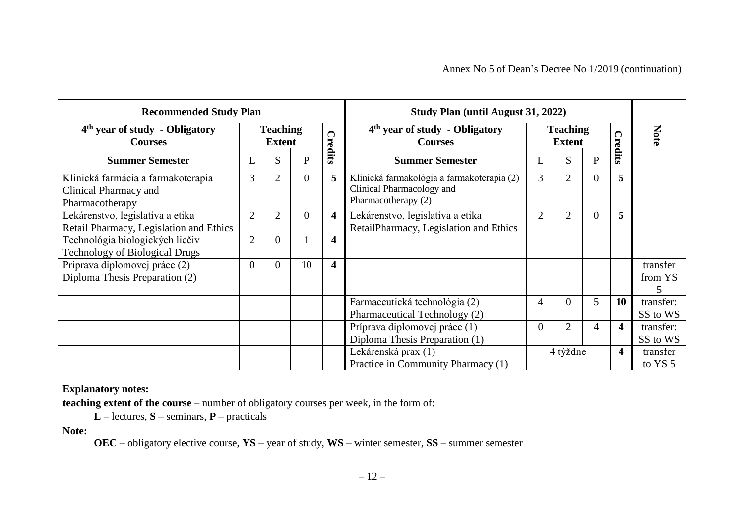| <b>Recommended Study Plan</b>                                                  |                                  |                |          |                         | <b>Study Plan (until August 31, 2022)</b>                                                      |                |                                  |                  |         |                          |
|--------------------------------------------------------------------------------|----------------------------------|----------------|----------|-------------------------|------------------------------------------------------------------------------------------------|----------------|----------------------------------|------------------|---------|--------------------------|
| 4 <sup>th</sup> year of study - Obligatory<br><b>Courses</b>                   | <b>Teaching</b><br><b>Extent</b> |                | ౧        |                         | 4 <sup>th</sup> year of study - Obligatory<br><b>Courses</b>                                   |                | <b>Teaching</b><br><b>Extent</b> |                  |         | Note                     |
| <b>Summer Semester</b>                                                         | L                                | S              | P        | 'redits                 | <b>Summer Semester</b>                                                                         | L              | S                                | $\mathbf{P}$     | 'redits |                          |
| Klinická farmácia a farmakoterapia<br>Clinical Pharmacy and<br>Pharmacotherapy | 3                                | $\overline{2}$ | $\theta$ | 5                       | Klinická farmakológia a farmakoterapia (2)<br>Clinical Pharmacology and<br>Pharmacotherapy (2) | 3              | 2                                | $\boldsymbol{0}$ | 5       |                          |
| Lekárenstvo, legislatíva a etika<br>Retail Pharmacy, Legislation and Ethics    | $\overline{2}$                   | $\overline{2}$ | $\Omega$ | $\overline{\mathbf{4}}$ | Lekárenstvo, legislatíva a etika<br>RetailPharmacy, Legislation and Ethics                     | $\overline{2}$ | 2                                | $\overline{0}$   | 5       |                          |
| Technológia biologických liečiv<br><b>Technology of Biological Drugs</b>       | $\overline{2}$                   | $\overline{0}$ |          | $\overline{\mathbf{4}}$ |                                                                                                |                |                                  |                  |         |                          |
| Príprava diplomovej práce (2)<br>Diploma Thesis Preparation (2)                | $\Omega$                         | $\Omega$       | 10       | $\overline{\mathbf{4}}$ |                                                                                                |                |                                  |                  |         | transfer<br>from YS<br>5 |
|                                                                                |                                  |                |          |                         | Farmaceutická technológia (2)<br>Pharmaceutical Technology (2)                                 | 4              | $\Omega$                         | 5                | 10      | transfer:<br>SS to WS    |
|                                                                                |                                  |                |          |                         | Príprava diplomovej práce (1)<br>Diploma Thesis Preparation (1)                                | $\overline{0}$ | $\overline{2}$                   | $\overline{4}$   | 4       | transfer:<br>SS to WS    |
|                                                                                |                                  |                |          |                         | Lekárenská prax (1)<br>Practice in Community Pharmacy (1)                                      |                | 4 týždne                         |                  | 4       | transfer<br>to YS 5      |

#### **Explanatory notes:**

**teaching extent of the course** – number of obligatory courses per week, in the form of:

**L** – lectures, **S** – seminars, **P** – practicals

**Note:**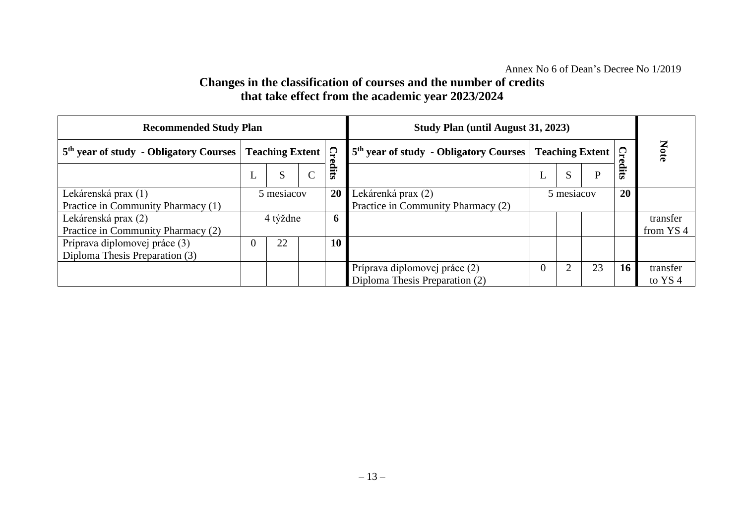## **Changes in the classification of courses and the number of credits that take effect from the academic year 2023/2024**

| <b>Recommended Study Plan</b>                      |                        |    |             |             | Study Plan (until August 31, 2023)                                   |                |               |              |                      |                    |
|----------------------------------------------------|------------------------|----|-------------|-------------|----------------------------------------------------------------------|----------------|---------------|--------------|----------------------|--------------------|
| 5 <sup>th</sup> year of study - Obligatory Courses | <b>Teaching Extent</b> |    |             | Cre         | 5 <sup>th</sup> year of study - Obligatory Courses   Teaching Extent |                |               |              | <b>Note</b>          |                    |
|                                                    | ┶                      | S  | $\sim$<br>Ĉ | silits      |                                                                      | ┺              | S             | $\mathbf{P}$ | <b>Credits</b>       |                    |
| Lekárenská prax (1)                                | 5 mesiacov             |    |             | 20          | Lekárenká prax (2)                                                   | 5 mesiacov     |               |              | <b>20</b>            |                    |
| Practice in Community Pharmacy (1)                 |                        |    |             |             | Practice in Community Pharmacy (2)                                   |                |               |              |                      |                    |
| Lekárenská prax (2)                                | 4 týždne               |    |             | $\mathbf b$ |                                                                      |                |               |              |                      | transfer           |
| Practice in Community Pharmacy (2)                 |                        |    |             |             |                                                                      |                |               |              | from YS <sub>4</sub> |                    |
| Príprava diplomovej práce (3)                      | $\Omega$               | 22 |             | <b>10</b>   |                                                                      |                |               |              |                      |                    |
| Diploma Thesis Preparation (3)                     |                        |    |             |             |                                                                      |                |               |              |                      |                    |
|                                                    |                        |    |             |             | Príprava diplomovej práce (2)                                        | $\overline{0}$ | $\mathcal{L}$ | 23           | 16                   | transfer           |
|                                                    |                        |    |             |             | Diploma Thesis Preparation (2)                                       |                |               |              |                      | to YS <sub>4</sub> |